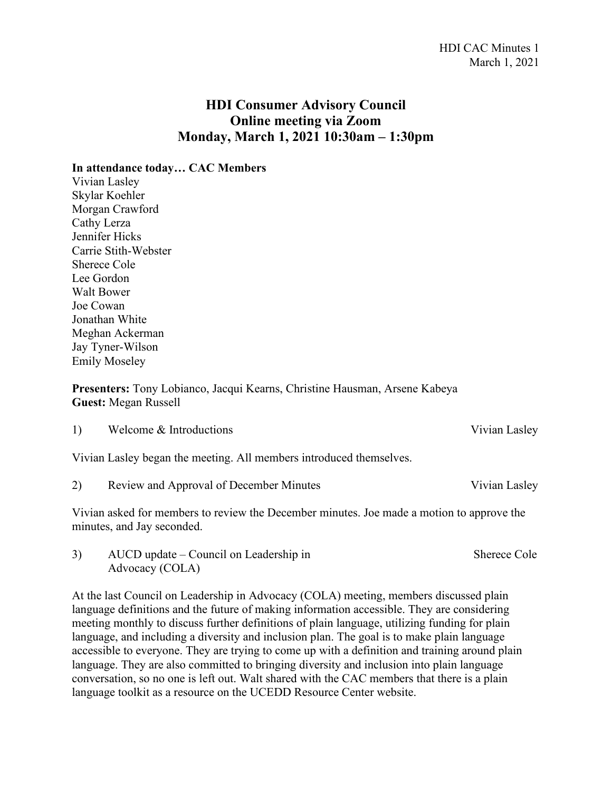## **HDI Consumer Advisory Council Online meeting via Zoom Monday, March 1, 2021 10:30am – 1:30pm**

**In attendance today… CAC Members**

Vivian Lasley Skylar Koehler Morgan Crawford Cathy Lerza Jennifer Hicks Carrie Stith-Webster Sherece Cole Lee Gordon Walt Bower Joe Cowan Jonathan White Meghan Ackerman Jay Tyner-Wilson Emily Moseley

**Presenters:** Tony Lobianco, Jacqui Kearns, Christine Hausman, Arsene Kabeya **Guest:** Megan Russell

|    | Vivian Lasley began the meeting. All members introduced themselves. |               |
|----|---------------------------------------------------------------------|---------------|
| 2) | Review and Approval of December Minutes                             | Vivian Lasley |

1) Welcome & Introductions Vivian Lasley

Vivian asked for members to review the December minutes. Joe made a motion to approve the minutes, and Jay seconded.

3) AUCD update – Council on Leadership in Sherece Cole Advocacy (COLA)

At the last Council on Leadership in Advocacy (COLA) meeting, members discussed plain language definitions and the future of making information accessible. They are considering meeting monthly to discuss further definitions of plain language, utilizing funding for plain language, and including a diversity and inclusion plan. The goal is to make plain language accessible to everyone. They are trying to come up with a definition and training around plain language. They are also committed to bringing diversity and inclusion into plain language conversation, so no one is left out. Walt shared with the CAC members that there is a plain language toolkit as a resource on the UCEDD Resource Center website.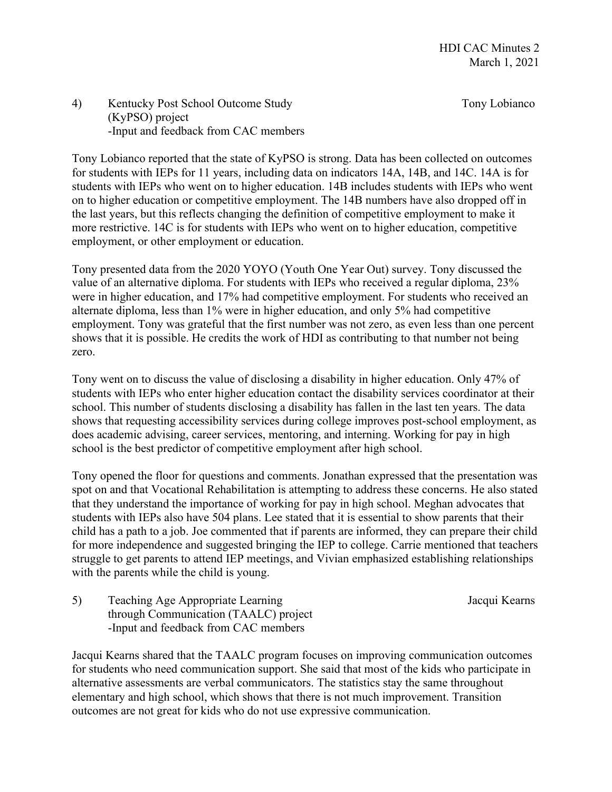## 4) Kentucky Post School Outcome Study Tony Lobianco (KyPSO) project -Input and feedback from CAC members

Tony Lobianco reported that the state of KyPSO is strong. Data has been collected on outcomes for students with IEPs for 11 years, including data on indicators 14A, 14B, and 14C. 14A is for students with IEPs who went on to higher education. 14B includes students with IEPs who went on to higher education or competitive employment. The 14B numbers have also dropped off in the last years, but this reflects changing the definition of competitive employment to make it more restrictive. 14C is for students with IEPs who went on to higher education, competitive employment, or other employment or education.

Tony presented data from the 2020 YOYO (Youth One Year Out) survey. Tony discussed the value of an alternative diploma. For students with IEPs who received a regular diploma, 23% were in higher education, and 17% had competitive employment. For students who received an alternate diploma, less than 1% were in higher education, and only 5% had competitive employment. Tony was grateful that the first number was not zero, as even less than one percent shows that it is possible. He credits the work of HDI as contributing to that number not being zero.

Tony went on to discuss the value of disclosing a disability in higher education. Only 47% of students with IEPs who enter higher education contact the disability services coordinator at their school. This number of students disclosing a disability has fallen in the last ten years. The data shows that requesting accessibility services during college improves post-school employment, as does academic advising, career services, mentoring, and interning. Working for pay in high school is the best predictor of competitive employment after high school.

Tony opened the floor for questions and comments. Jonathan expressed that the presentation was spot on and that Vocational Rehabilitation is attempting to address these concerns. He also stated that they understand the importance of working for pay in high school. Meghan advocates that students with IEPs also have 504 plans. Lee stated that it is essential to show parents that their child has a path to a job. Joe commented that if parents are informed, they can prepare their child for more independence and suggested bringing the IEP to college. Carrie mentioned that teachers struggle to get parents to attend IEP meetings, and Vivian emphasized establishing relationships with the parents while the child is young.

5) Teaching Age Appropriate Learning Jacqui Kearns through Communication (TAALC) project -Input and feedback from CAC members

Jacqui Kearns shared that the TAALC program focuses on improving communication outcomes for students who need communication support. She said that most of the kids who participate in alternative assessments are verbal communicators. The statistics stay the same throughout elementary and high school, which shows that there is not much improvement. Transition outcomes are not great for kids who do not use expressive communication.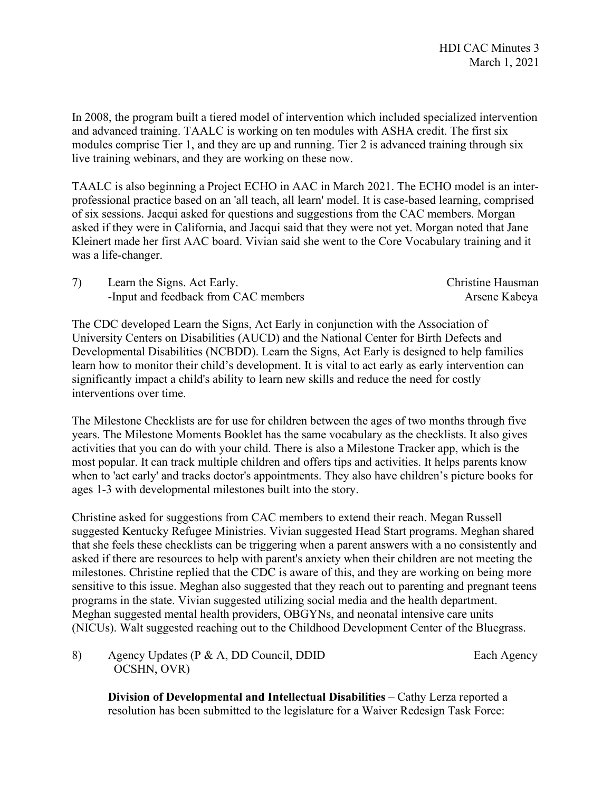In 2008, the program built a tiered model of intervention which included specialized intervention and advanced training. TAALC is working on ten modules with ASHA credit. The first six modules comprise Tier 1, and they are up and running. Tier 2 is advanced training through six live training webinars, and they are working on these now.

TAALC is also beginning a Project ECHO in AAC in March 2021. The ECHO model is an interprofessional practice based on an 'all teach, all learn' model. It is case-based learning, comprised of six sessions. Jacqui asked for questions and suggestions from the CAC members. Morgan asked if they were in California, and Jacqui said that they were not yet. Morgan noted that Jane Kleinert made her first AAC board. Vivian said she went to the Core Vocabulary training and it was a life-changer.

| Learn the Signs. Act Early.          | Christine Hausman |
|--------------------------------------|-------------------|
| -Input and feedback from CAC members | Arsene Kabeya     |

The CDC developed Learn the Signs, Act Early in conjunction with the Association of University Centers on Disabilities (AUCD) and the National Center for Birth Defects and Developmental Disabilities (NCBDD). Learn the Signs, Act Early is designed to help families learn how to monitor their child's development. It is vital to act early as early intervention can significantly impact a child's ability to learn new skills and reduce the need for costly interventions over time.

The Milestone Checklists are for use for children between the ages of two months through five years. The Milestone Moments Booklet has the same vocabulary as the checklists. It also gives activities that you can do with your child. There is also a Milestone Tracker app, which is the most popular. It can track multiple children and offers tips and activities. It helps parents know when to 'act early' and tracks doctor's appointments. They also have children's picture books for ages 1-3 with developmental milestones built into the story.

Christine asked for suggestions from CAC members to extend their reach. Megan Russell suggested Kentucky Refugee Ministries. Vivian suggested Head Start programs. Meghan shared that she feels these checklists can be triggering when a parent answers with a no consistently and asked if there are resources to help with parent's anxiety when their children are not meeting the milestones. Christine replied that the CDC is aware of this, and they are working on being more sensitive to this issue. Meghan also suggested that they reach out to parenting and pregnant teens programs in the state. Vivian suggested utilizing social media and the health department. Meghan suggested mental health providers, OBGYNs, and neonatal intensive care units (NICUs). Walt suggested reaching out to the Childhood Development Center of the Bluegrass.

8) Agency Updates (P & A, DD Council, DDID Each Agency OCSHN, OVR)

**Division of Developmental and Intellectual Disabilities** – Cathy Lerza reported a resolution has been submitted to the legislature for a Waiver Redesign Task Force: